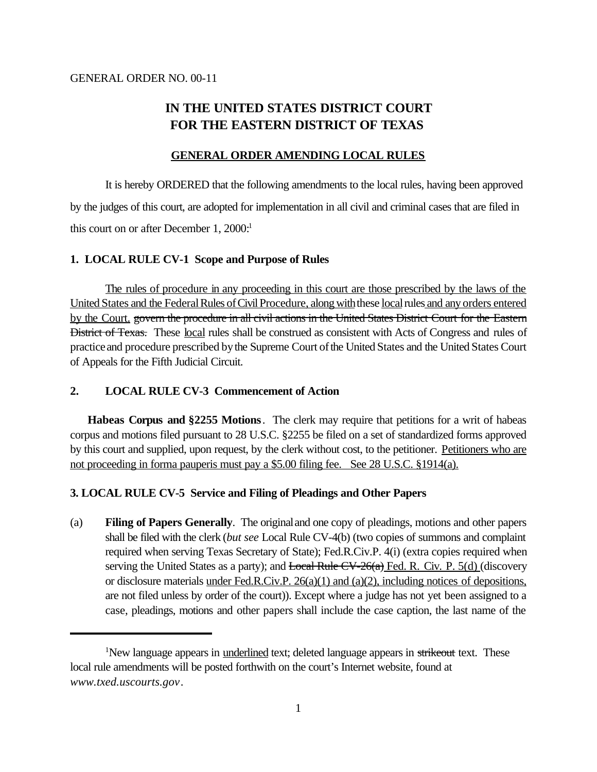# **IN THE UNITED STATES DISTRICT COURT FOR THE EASTERN DISTRICT OF TEXAS**

#### **GENERAL ORDER AMENDING LOCAL RULES**

It is hereby ORDERED that the following amendments to the local rules, having been approved by the judges of this court, are adopted for implementation in all civil and criminal cases that are filed in this court on or after December 1,  $2000$ <sup>1</sup>

### **1. LOCAL RULE CV-1 Scope and Purpose of Rules**

The rules of procedure in any proceeding in this court are those prescribed by the laws of the United States and the Federal Rules of Civil Procedure, along with these local rules and any orders entered by the Court. govern the procedure in all civil actions in the United States District Court for the Eastern District of Texas. These local rules shall be construed as consistent with Acts of Congress and rules of practice and procedure prescribed by the Supreme Court of the United States and the United States Court of Appeals for the Fifth Judicial Circuit.

### **2. LOCAL RULE CV-3 Commencement of Action**

**Habeas Corpus and §2255 Motions**. The clerk may require that petitions for a writ of habeas corpus and motions filed pursuant to 28 U.S.C. §2255 be filed on a set of standardized forms approved by this court and supplied, upon request, by the clerk without cost, to the petitioner. Petitioners who are not proceeding in forma pauperis must pay a \$5.00 filing fee. See 28 U.S.C. §1914(a).

### **3. LOCAL RULE CV-5 Service and Filing of Pleadings and Other Papers**

(a) **Filing of Papers Generally**. The originaland one copy of pleadings, motions and other papers shall be filed with the clerk (*but see* Local Rule CV-4(b) (two copies of summons and complaint required when serving Texas Secretary of State); Fed.R.Civ.P. 4(i) (extra copies required when serving the United States as a party); and Local Rule CV-26(a) Fed. R. Civ. P. 5(d) (discovery or disclosure materials under Fed.R.Civ.P.  $26(a)(1)$  and  $(a)(2)$ , including notices of depositions, are not filed unless by order of the court)). Except where a judge has not yet been assigned to a case, pleadings, motions and other papers shall include the case caption, the last name of the

<sup>&</sup>lt;sup>1</sup>New language appears in <u>underlined</u> text; deleted language appears in strikeout text. These local rule amendments will be posted forthwith on the court's Internet website, found at *www.txed.uscourts.gov*.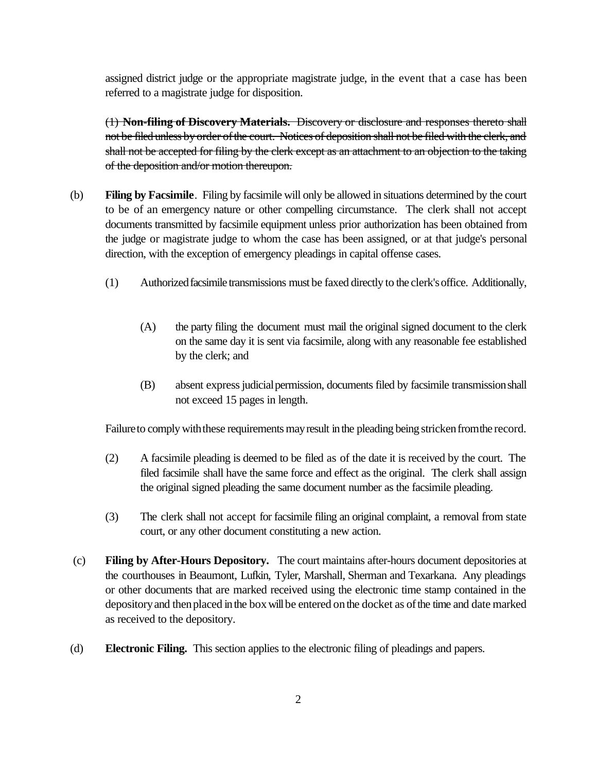assigned district judge or the appropriate magistrate judge, in the event that a case has been referred to a magistrate judge for disposition.

(1) **Non-filing of Discovery Materials.** Discovery or disclosure and responses thereto shall not be filed unless by order of the court. Notices of deposition shall not be filed with the clerk, and shall not be accepted for filing by the clerk except as an attachment to an objection to the taking of the deposition and/or motion thereupon.

- (b) **Filing by Facsimile**. Filing by facsimile will only be allowed in situations determined by the court to be of an emergency nature or other compelling circumstance. The clerk shall not accept documents transmitted by facsimile equipment unless prior authorization has been obtained from the judge or magistrate judge to whom the case has been assigned, or at that judge's personal direction, with the exception of emergency pleadings in capital offense cases.
	- (1) Authorizedfacsimile transmissions must be faxed directly to the clerk'soffice. Additionally,
		- (A) the party filing the document must mail the original signed document to the clerk on the same day it is sent via facsimile, along with any reasonable fee established by the clerk; and
		- (B) absent expressjudicialpermission, documents filed by facsimile transmissionshall not exceed 15 pages in length.

Failure to comply with these requirements may result in the pleading being stricken from the record.

- (2) A facsimile pleading is deemed to be filed as of the date it is received by the court. The filed facsimile shall have the same force and effect as the original. The clerk shall assign the original signed pleading the same document number as the facsimile pleading.
- (3) The clerk shall not accept for facsimile filing an original complaint, a removal from state court, or any other document constituting a new action.
- (c) **Filing by After-Hours Depository.** The court maintains after-hours document depositories at the courthouses in Beaumont, Lufkin, Tyler, Marshall, Sherman and Texarkana. Any pleadings or other documents that are marked received using the electronic time stamp contained in the depository and then placed in the box will be entered on the docket as of the time and date marked as received to the depository.
- (d) **Electronic Filing.** This section applies to the electronic filing of pleadings and papers.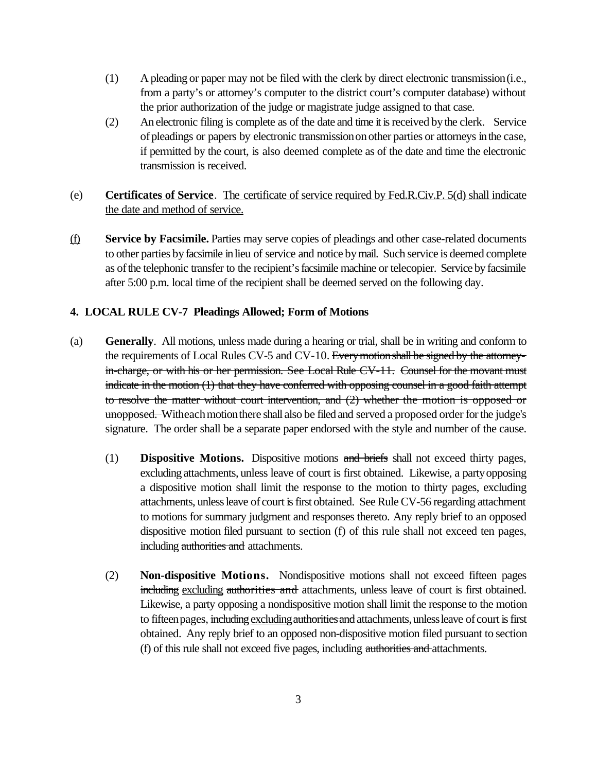- (1) A pleading or paper may not be filed with the clerk by direct electronic transmission(i.e., from a party's or attorney's computer to the district court's computer database) without the prior authorization of the judge or magistrate judge assigned to that case.
- (2) An electronic filing is complete as of the date and time it isreceived bythe clerk. Service of pleadings or papers by electronic transmission on other parties or attorneys in the case, if permitted by the court, is also deemed complete as of the date and time the electronic transmission is received.
- (e) **Certificates of Service**. The certificate of service required by Fed.R.Civ.P. 5(d) shall indicate the date and method of service.
- (f) **Service by Facsimile.** Parties may serve copies of pleadings and other case-related documents to other parties byfacsimile inlieu of service and notice bymail. Such service is deemed complete as of the telephonic transfer to the recipient's facsimile machine or telecopier. Service by facsimile after 5:00 p.m. local time of the recipient shall be deemed served on the following day.

# **4. LOCAL RULE CV-7 Pleadings Allowed; Form of Motions**

- (a) **Generally**. All motions, unless made during a hearing or trial, shall be in writing and conform to the requirements of Local Rules CV-5 and CV-10. Every motion shall be signed by the attorneyin-charge, or with his or her permission. See Local Rule CV-11. Counsel for the movant must indicate in the motion (1) that they have conferred with opposing counsel in a good faith attempt to resolve the matter without court intervention, and (2) whether the motion is opposed or unopposed. Witheach motion there shall also be filed and served a proposed order for the judge's signature. The order shall be a separate paper endorsed with the style and number of the cause.
	- (1) **Dispositive Motions.** Dispositive motions and briefs shall not exceed thirty pages, excluding attachments, unless leave of court is first obtained. Likewise, a partyopposing a dispositive motion shall limit the response to the motion to thirty pages, excluding attachments, unless leave of court is first obtained. See Rule CV-56 regarding attachment to motions for summary judgment and responses thereto. Any reply brief to an opposed dispositive motion filed pursuant to section (f) of this rule shall not exceed ten pages, including authorities and attachments.
	- (2) **Non-dispositive Motions.** Nondispositive motions shall not exceed fifteen pages including excluding authorities and attachments, unless leave of court is first obtained. Likewise, a party opposing a nondispositive motion shall limit the response to the motion to fifteen pages, including excluding authorities and attachments, unless leave of court is first obtained. Any reply brief to an opposed non-dispositive motion filed pursuant to section (f) of this rule shall not exceed five pages, including authorities and attachments.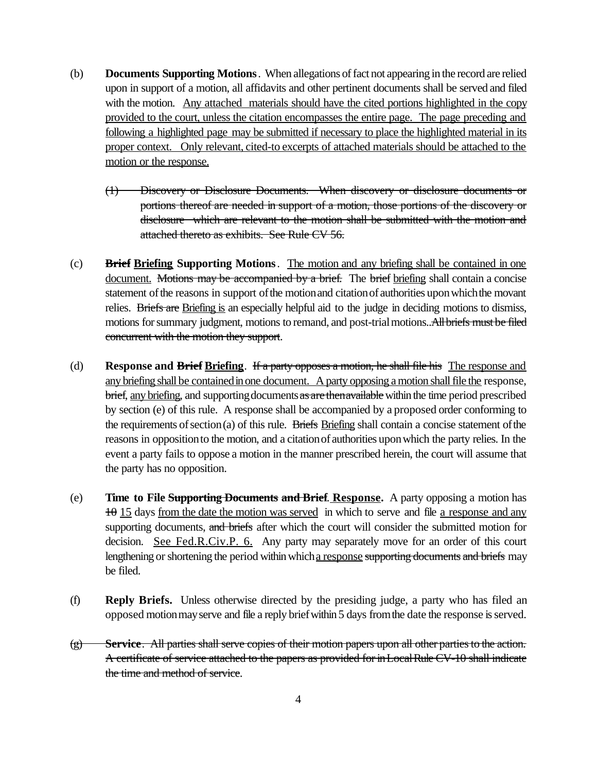- (b) **Documents Supporting Motions**. When allegations of fact not appearing in the record are relied upon in support of a motion, all affidavits and other pertinent documents shall be served and filed with the motion. Any attached materials should have the cited portions highlighted in the copy provided to the court, unless the citation encompasses the entire page. The page preceding and following a highlighted page may be submitted if necessary to place the highlighted material in its proper context. Only relevant, cited-to excerpts of attached materials should be attached to the motion or the response.
	- (1) Discovery or Disclosure Documents. When discovery or disclosure documents or portions thereof are needed in support of a motion, those portions of the discovery or disclosure which are relevant to the motion shall be submitted with the motion and attached thereto as exhibits. See Rule CV 56.
- (c) **Brief Briefing Supporting Motions**. The motion and any briefing shall be contained in one document. Motions may be accompanied by a brief. The brief briefing shall contain a concise statement of the reasons in support of the motion and citation of authorities upon which the movant relies. Briefs are Briefing is an especially helpful aid to the judge in deciding motions to dismiss, motions for summary judgment, motions to remand, and post-trial motions..All briefs must be filed concurrent with the motion they support.
- (d) **Response and Brief Briefing**. If a party opposes a motion, he shall file his The response and any briefing shall be contained in one document. A party opposing a motion shall file the response, brief, any briefing, and supporting documents as are then available within the time period prescribed by section (e) of this rule. A response shall be accompanied by a proposed order conforming to the requirements of section (a) of this rule. Briefs Briefing shall contain a concise statement of the reasons in oppositionto the motion, and a citationof authorities uponwhich the party relies. In the event a party fails to oppose a motion in the manner prescribed herein, the court will assume that the party has no opposition.
- (e) **Time to File Supporting Documents and Brief**. **Response.** A party opposing a motion has 10 15 days from the date the motion was served in which to serve and file a response and any supporting documents, and briefs after which the court will consider the submitted motion for decision. See Fed.R.Civ.P. 6. Any party may separately move for an order of this court lengthening or shortening the period within which a response supporting documents and briefs may be filed.
- (f) **Reply Briefs.** Unless otherwise directed by the presiding judge, a party who has filed an opposed motion may serve and file a reply brief within 5 days from the date the response is served.
- (g) **Service**. All parties shall serve copies of their motion papers upon all other partiesto the action. A certificate of service attached to the papers as provided for in Local Rule CV-10 shall indicate the time and method of service.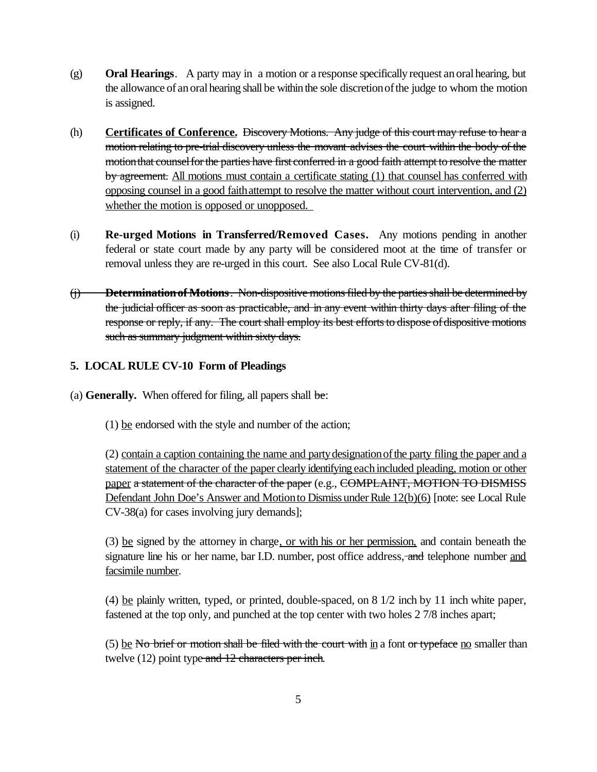- (g) **Oral Hearings**. A party may in a motion or a response specifically request anoralhearing, but the allowance of an oral hearing shall be within the sole discretion of the judge to whom the motion is assigned.
- (h) **Certificates of Conference.** Discovery Motions. Any judge of this court may refuse to hear a motion relating to pre-trial discovery unless the movant advises the court within the body of the motion that counsel for the parties have first conferred in a good faith attempt to resolve the matter by agreement. All motions must contain a certificate stating (1) that counsel has conferred with opposing counsel in a good faithattempt to resolve the matter without court intervention, and (2) whether the motion is opposed or unopposed.
- (i) **Re-urged Motions in Transferred/Removed Cases.** Any motions pending in another federal or state court made by any party will be considered moot at the time of transfer or removal unless they are re-urged in this court. See also Local Rule CV-81(d).
- (j) **Determinationof Motions**. Non-dispositive motions filed by the parties shall be determined by the judicial officer as soon as practicable, and in any event within thirty days after filing of the response or reply, if any. The court shall employ its best efforts to dispose of dispositive motions such as summary judgment within sixty days.

# **5. LOCAL RULE CV-10 Form of Pleadings**

- (a) **Generally.** When offered for filing, all papers shall  $be$ .
	- (1) be endorsed with the style and number of the action;

(2) contain a caption containing the name and partydesignationofthe party filing the paper and a statement of the character of the paper clearly identifying eachincluded pleading, motion or other paper a statement of the character of the paper (e.g., COMPLAINT, MOTION TO DISMISS Defendant John Doe's Answer and Motion to Dismiss under Rule 12(b)(6) [note: see Local Rule CV-38(a) for cases involving jury demands];

(3) be signed by the attorney in charge, or with his or her permission, and contain beneath the signature line his or her name, bar I.D. number, post office address, and telephone number and facsimile number.

(4) be plainly written, typed, or printed, double-spaced, on 8 1/2 inch by 11 inch white paper, fastened at the top only, and punched at the top center with two holes 2 7/8 inches apart;

(5) be No brief or motion shall be filed with the court with in a font or typeface no smaller than twelve  $(12)$  point type and  $12$  characters per inch.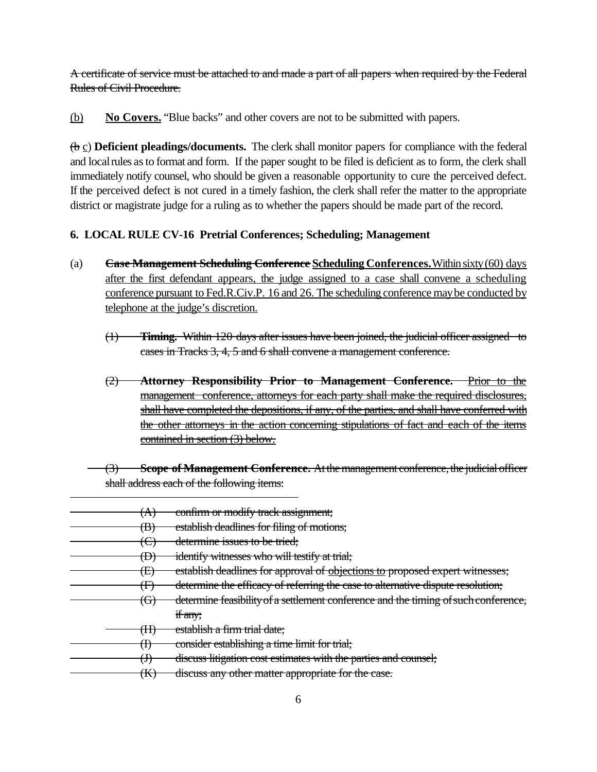A certificate of service must be attached to and made a part of all papers when required by the Federal Rules of Civil Procedure.

(b) **No Covers.** "Blue backs" and other covers are not to be submitted with papers.

(b c) **Deficient pleadings/documents.** The clerk shall monitor papers for compliance with the federal and local rules as to format and form. If the paper sought to be filed is deficient as to form, the clerk shall immediately notify counsel, who should be given a reasonable opportunity to cure the perceived defect. If the perceived defect is not cured in a timely fashion, the clerk shall refer the matter to the appropriate district or magistrate judge for a ruling as to whether the papers should be made part of the record.

# **6. LOCAL RULE CV-16 Pretrial Conferences; Scheduling; Management**

- (a) **Case Management Scheduling Conference Scheduling Conferences.**Within sixty(60) days after the first defendant appears, the judge assigned to a case shall convene a scheduling conference pursuant to Fed.R.Civ.P. 16 and 26. The scheduling conference maybe conducted by telephone at the judge's discretion.
	- (1) **Timing.** Within 120 days after issues have been joined, the judicial officer assigned to cases in Tracks 3, 4, 5 and 6 shall convene a management conference.
	- (2) **Attorney Responsibility Prior to Management Conference.** Prior to the management conference, attorneys for each party shall make the required disclosures, shall have completed the depositions, if any, of the parties, and shall have conferred with the other attorneys in the action concerning stipulations of fact and each of the items contained in section (3) below.
	- (3) **Scope of Management Conference.** At the management conference, the judicial officer shall address each of the following items:
- (A) confirm or modify track assignment;
- (B) establish deadlines for filing of motions;
- (C) determine issues to be tried;
- (D) identify witnesses who will testify at trial;
- (E) establish deadlines for approval of objections to proposed expert witnesses;
- (F) determine the efficacy of referring the case to alternative dispute resolution;
- (G) determine feasibility of a settlement conference and the timing of such conference, if any;
	- (H) establish a firm trial date;
- (I) consider establishing a time limit for trial;
- (J) discuss litigation cost estimates with the parties and counsel;
	- (K) discuss any other matter appropriate for the case.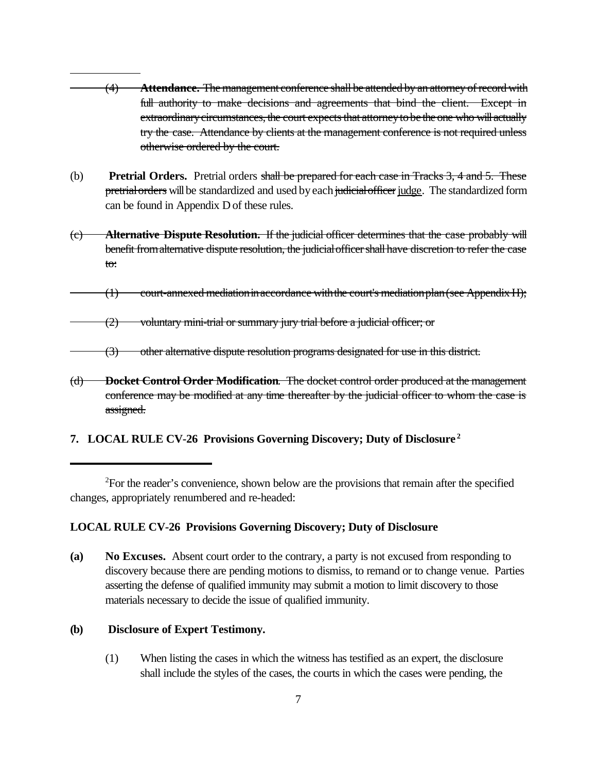- (4) **Attendance.** The management conference shall be attended by an attorney of record with full authority to make decisions and agreements that bind the client. Except in extraordinary circumstances, the court expects that attorney to be the one who will actually try the case. Attendance by clients at the management conference is not required unless otherwise ordered by the court.
- (b) **Pretrial Orders.** Pretrial orders shall be prepared for each case in Tracks 3, 4 and 5. These pretrial orders will be standardized and used by each judicial officer judge. The standardized form can be found in Appendix D of these rules.
- (c) **Alternative Dispute Resolution.** If the judicial officer determines that the case probably will benefit from alternative dispute resolution, the judicial officer shall have discretion to refer the case to:
- $(1)$  court-annexed mediation in accordance with the court's mediation plan (see Appendix H);
- (2) voluntary mini-trial or summary jury trial before a judicial officer; or
- (3) other alternative dispute resolution programs designated for use in this district.
- (d) **Docket Control Order Modification**. The docket control order produced at the management conference may be modified at any time thereafter by the judicial officer to whom the case is assigned.

### **7. LOCAL RULE CV-26 Provisions Governing Discovery; Duty of Disclosure <sup>2</sup>**

<sup>2</sup>For the reader's convenience, shown below are the provisions that remain after the specified changes, appropriately renumbered and re-headed:

#### **LOCAL RULE CV-26 Provisions Governing Discovery; Duty of Disclosure**

**(a) No Excuses.** Absent court order to the contrary, a party is not excused from responding to discovery because there are pending motions to dismiss, to remand or to change venue. Parties asserting the defense of qualified immunity may submit a motion to limit discovery to those materials necessary to decide the issue of qualified immunity.

#### **(b) Disclosure of Expert Testimony.**

(1) When listing the cases in which the witness has testified as an expert, the disclosure shall include the styles of the cases, the courts in which the cases were pending, the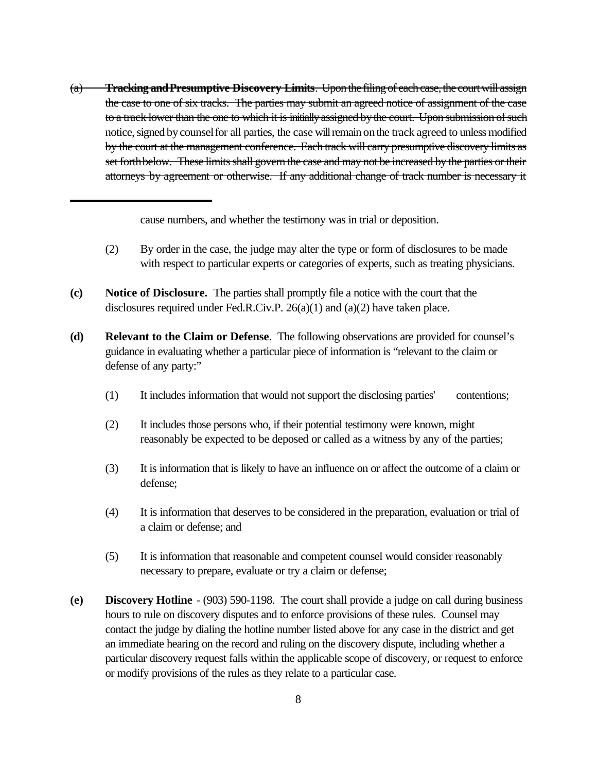(a) **Tracking andPresumptive Discovery Limits**. Upon the filing of each case, the court will assign the case to one of six tracks. The parties may submit an agreed notice of assignment of the case to a track lower than the one to which it is initially assigned by the court. Upon submission of such notice, signed by counsel for all parties, the case will remain on the track agreed to unless modified by the court at the management conference. Each track will carry presumptive discovery limits as set forth below. These limits shall govern the case and may not be increased by the parties or their attorneys by agreement or otherwise. If any additional change of track number is necessary it

cause numbers, and whether the testimony was in trial or deposition.

- (2) By order in the case, the judge may alter the type or form of disclosures to be made with respect to particular experts or categories of experts, such as treating physicians.
- **(c) Notice of Disclosure.** The parties shall promptly file a notice with the court that the disclosures required under Fed.R.Civ.P. 26(a)(1) and (a)(2) have taken place.
- **(d) Relevant to the Claim or Defense**. The following observations are provided for counsel's guidance in evaluating whether a particular piece of information is "relevant to the claim or defense of any party:"
	- (1) It includes information that would not support the disclosing parties' contentions;
	- (2) It includes those persons who, if their potential testimony were known, might reasonably be expected to be deposed or called as a witness by any of the parties;
	- (3) It is information that is likely to have an influence on or affect the outcome of a claim or defense;
	- (4) It is information that deserves to be considered in the preparation, evaluation or trial of a claim or defense; and
	- (5) It is information that reasonable and competent counsel would consider reasonably necessary to prepare, evaluate or try a claim or defense;
- **(e) Discovery Hotline** (903) 590-1198. The court shall provide a judge on call during business hours to rule on discovery disputes and to enforce provisions of these rules. Counsel may contact the judge by dialing the hotline number listed above for any case in the district and get an immediate hearing on the record and ruling on the discovery dispute, including whether a particular discovery request falls within the applicable scope of discovery, or request to enforce or modify provisions of the rules as they relate to a particular case.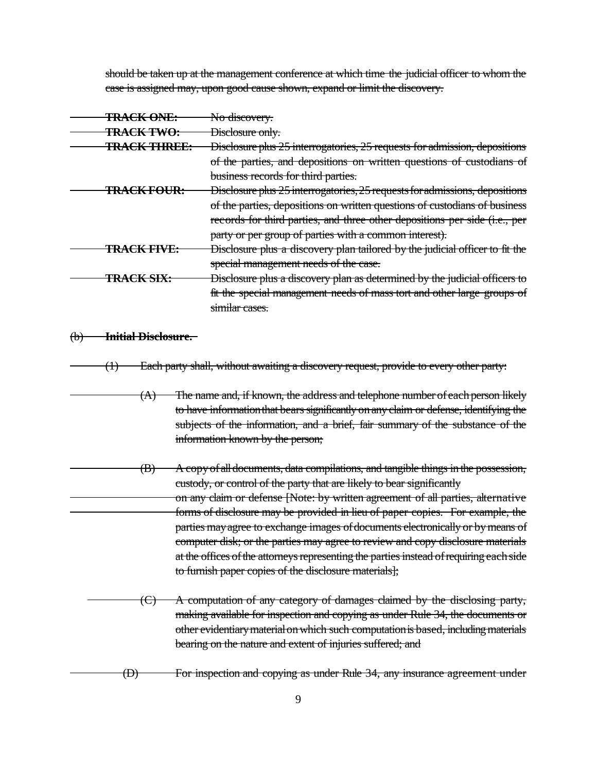should be taken up at the management conference at which time the judicial officer to whom the case is assigned may, upon good cause shown, expand or limit the discovery.

|                           |          | <b>TRACK ONE:</b>              | No discovery.                                                                           |
|---------------------------|----------|--------------------------------|-----------------------------------------------------------------------------------------|
|                           |          | <b>TRACK TWO:</b>              | <b>Disclosure only.</b>                                                                 |
|                           |          | <b>TRACK THREE:</b>            | Disclosure plus 25 interrogatories, 25 requests for admission, depositions              |
|                           |          |                                | of the parties, and depositions on written questions of custodians of                   |
|                           |          |                                | business records for third parties.                                                     |
|                           |          | <del>TRACK FOUR:</del>         | Disclosure plus 25 interrogatories, 25 requests for admissions, depositions             |
|                           |          |                                | of the parties, depositions on written questions of custodians of business              |
|                           |          |                                | records for third parties, and three other depositions per side (i.e., per              |
|                           |          |                                | party or per group of parties with a common interest).                                  |
|                           |          | <del>TRACK FIVE:</del>         | Disclosure plus a discovery plan tailored by the judicial officer to fit the            |
|                           |          |                                | special management needs of the case.                                                   |
|                           |          | <del>TRACK SIX:</del>          | Disclosure plus a discovery plan as determined by the judicial officers to              |
|                           |          |                                | fit the special management needs of mass tort and other large groups of                 |
|                           |          |                                | similar cases.                                                                          |
|                           |          |                                |                                                                                         |
| $\left(\mathbf{b}\right)$ |          | <del>Initial Disclosure.</del> |                                                                                         |
|                           |          |                                |                                                                                         |
|                           | $\oplus$ |                                | Each party shall, without awaiting a discovery request, provide to every other party:   |
|                           |          |                                |                                                                                         |
|                           |          | (A)                            | The name and, if known, the address and telephone number of each person likely          |
|                           |          |                                | to have information that bears significantly on any claim or defense, identifying the   |
|                           |          |                                | subjects of the information, and a brief, fair summary of the substance of the          |
|                           |          |                                | information known by the person;                                                        |
|                           |          |                                |                                                                                         |
|                           |          | $\bigoplus$                    | A copy of all documents, data compilations, and tangible things in the possession,      |
|                           |          |                                | custody, or control of the party that are likely to bear significantly                  |
|                           |          |                                | on any claim or defense [Note: by written agreement of all parties, alternative         |
|                           |          |                                | forms of disclosure may be provided in lieu of paper copies. For example, the           |
|                           |          |                                | parties may agree to exchange images of documents electronically or by means of         |
|                           |          |                                | computer disk; or the parties may agree to review and copy disclosure materials         |
|                           |          |                                | at the offices of the attorneys representing the parties instead of requiring each side |
|                           |          |                                | to furnish paper copies of the disclosure materials];                                   |
|                           |          | $\left( \mathrm{C}\right)$     | A computation of any category of damages claimed by the disclosing party,               |
|                           |          |                                | making available for inspection and copying as under Rule 34, the documents or          |
|                           |          |                                | other evidentiary material on which such computation is based, including materials      |
|                           |          |                                | bearing on the nature and extent of injuries suffered; and                              |
|                           |          |                                |                                                                                         |
|                           |          | $\bigoplus$                    | For inspection and copying as under Rule 34, any insurance agreement under              |
|                           |          |                                |                                                                                         |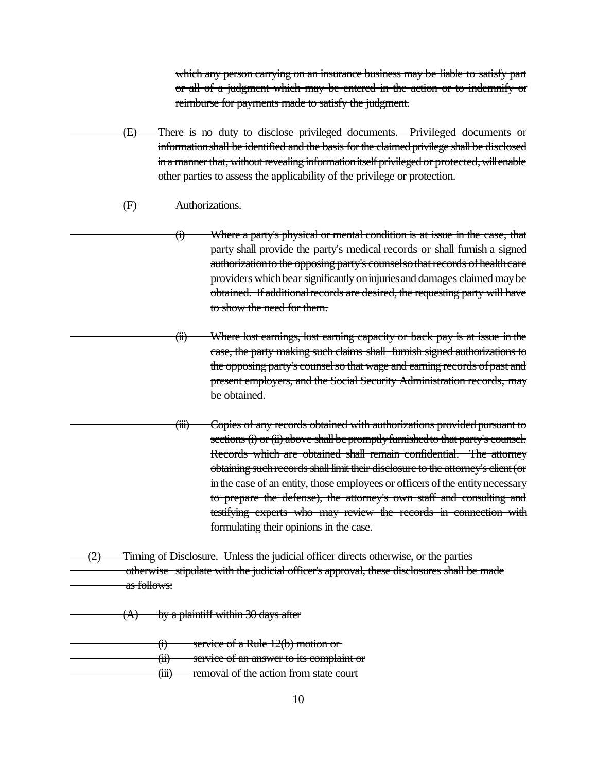which any person carrying on an insurance business may be liable to satisfy part or all of a judgment which may be entered in the action or to indemnify or reimburse for payments made to satisfy the judgment.

(E) There is no duty to disclose privileged documents. Privileged documents or informationshall be identified and the basis forthe claimed privilege shall be disclosed in a manner that, without revealing information itself privileged or protected, will enable other parties to assess the applicability of the privilege or protection.

(F) Authorizations.

(i) Where a party's physical or mental condition is at issue in the case, that party shall provide the party's medical records or shall furnish a signed authorization to the opposing party's counselso that records of health care providers which bear significantly on injuries and damages claimed may be obtained. If additional records are desired, the requesting party will have to show the need for them.

(ii) Where lost earnings, lost earning capacity or back pay is at issue in the case, the party making such claims shall furnish signed authorizations to the opposing party's counselso that wage and earning records of past and present employers, and the Social Security Administration records, may be obtained.

 (iii) Copies of any records obtained with authorizations provided pursuant to sections (i) or (ii) above shall be promptly furnished to that party's counsel. Records which are obtained shall remain confidential. The attorney obtaining such records shall limit their disclosure to the attorney's client (or in the case of an entity, those employees or officers of the entity necessary to prepare the defense), the attorney's own staff and consulting and testifying experts who may review the records in connection with formulating their opinions in the case.

(2) Timing of Disclosure. Unless the judicial officer directs otherwise, or the parties otherwise stipulate with the judicial officer's approval, these disclosures shall be made as follows:

 $(A)$  by a plaintiff within 30 days after

 $(i)$  service of a Rule 12(b) motion or (ii) service of an answer to its complaint or (iii) removal of the action from state court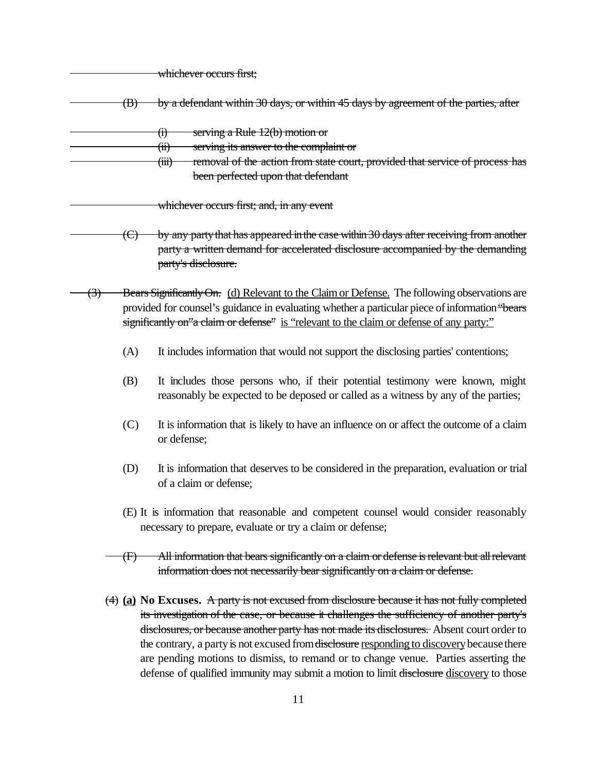|               |                            | whichever occurs first;                                                                                                                                                                                                                                                                                                                                                                                                                                                         |
|---------------|----------------------------|---------------------------------------------------------------------------------------------------------------------------------------------------------------------------------------------------------------------------------------------------------------------------------------------------------------------------------------------------------------------------------------------------------------------------------------------------------------------------------|
|               | $\left( \mathrm{B}\right)$ | by a defendant within 30 days, or within 45 days by agreement of the parties, after                                                                                                                                                                                                                                                                                                                                                                                             |
|               |                            | serving a Rule $12(b)$ motion or<br>$\bigcirc$<br>serving its answer to the complaint or<br>$\rm \textbf{(ii)}$<br>removal of the action from state court, provided that service of process has<br>$\overline{\textnormal{(iii)}}$<br>been perfected upon that defendant                                                                                                                                                                                                        |
|               |                            | whichever occurs first; and, in any event                                                                                                                                                                                                                                                                                                                                                                                                                                       |
|               | $\left(\bigoplus\right)$   | by any party that has appeared in the case within 30 days after receiving from another<br>party a written demand for accelerated disclosure accompanied by the demanding<br>party's disclosure.                                                                                                                                                                                                                                                                                 |
| $\circled{3}$ |                            | Bears Significantly On. (d) Relevant to the Claim or Defense. The following observations are<br>provided for counsel's guidance in evaluating whether a particular piece of information "bears<br>significantly on"a claim or defense" is "relevant to the claim or defense of any party:"                                                                                                                                                                                      |
|               | (A)                        | It includes information that would not support the disclosing parties' contentions;                                                                                                                                                                                                                                                                                                                                                                                             |
|               | (B)                        | It includes those persons who, if their potential testimony were known, might<br>reasonably be expected to be deposed or called as a witness by any of the parties;                                                                                                                                                                                                                                                                                                             |
|               | (C)                        | It is information that is likely to have an influence on or affect the outcome of a claim<br>or defense;                                                                                                                                                                                                                                                                                                                                                                        |
|               | (D)                        | It is information that deserves to be considered in the preparation, evaluation or trial<br>of a claim or defense;                                                                                                                                                                                                                                                                                                                                                              |
|               |                            | (E) It is information that reasonable and competent counsel would consider reasonably<br>necessary to prepare, evaluate or try a claim or defense;                                                                                                                                                                                                                                                                                                                              |
|               | <del>(F)</del>             | All information that bears significantly on a claim or defense is relevant but all relevant<br>information does not necessarily bear significantly on a claim or defense.                                                                                                                                                                                                                                                                                                       |
|               |                            | $(4)$ (a) No Excuses. A party is not excused from disclosure because it has not fully completed<br>its investigation of the case, or because it challenges the sufficiency of another party's<br>disclosures, or because another party has not made its disclosures. Absent court order to<br>the contrary, a party is not excused from disclosure responding to discovery because there<br>are pending motions to dismiss, to remand or to change venue. Parties asserting the |

defense of qualified immunity may submit a motion to limit disclosure discovery to those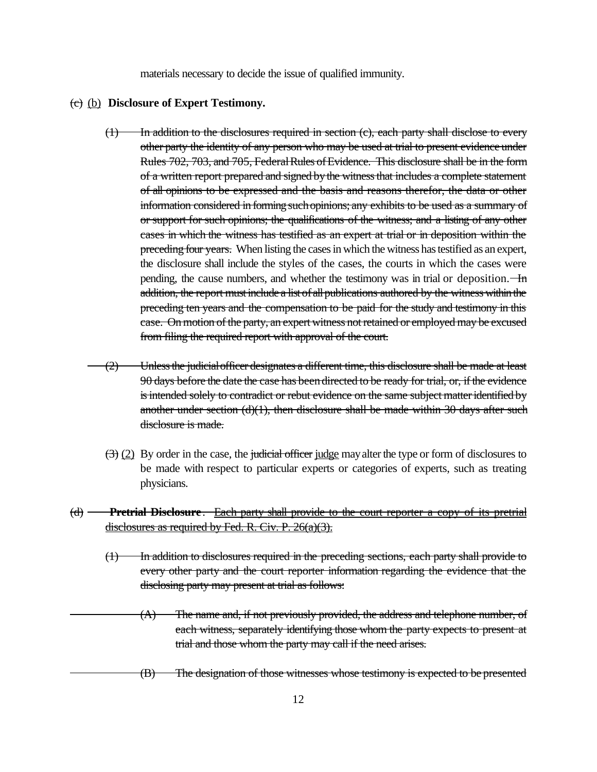materials necessary to decide the issue of qualified immunity.

#### (c) (b) **Disclosure of Expert Testimony.**

- (1) In addition to the disclosures required in section (c), each party shall disclose to every other party the identity of any person who may be used at trial to present evidence under Rules 702, 703, and 705, Federal Rules of Evidence. This disclosure shall be in the form of a written report prepared and signed bythe witnessthat includes a complete statement of all opinions to be expressed and the basis and reasons therefor, the data or other information considered in forming such opinions; any exhibits to be used as a summary of or support for such opinions; the qualifications of the witness; and a listing of any other cases in which the witness has testified as an expert at trial or in deposition within the preceding four years. When listing the cases in which the witness has testified as an expert, the disclosure shall include the styles of the cases, the courts in which the cases were pending, the cause numbers, and whether the testimony was in trial or deposition. - In addition, the report must include a list of all publications authored by the witness within the preceding ten years and the compensation to be paid for the study and testimony in this case. On motion of the party, an expert witness not retained or employed may be excused from filing the required report with approval of the court.
- (2) Unlessthe judicialofficer designates a different time, this disclosure shall be made at least 90 days before the date the case has been directed to be ready for trial, or, if the evidence is intended solely to contradict or rebut evidence on the same subject matter identified by another under section  $(d)(1)$ , then disclosure shall be made within 30 days after such disclosure is made.
	- $(3)$  (2) By order in the case, the judicial officer judge may alter the type or form of disclosures to be made with respect to particular experts or categories of experts, such as treating physicians.
- (d) **Pretrial Disclosure** . Each party shall provide to the court reporter a copy of its pretrial disclosures as required by Fed. R. Civ. P. 26(a)(3).
	- (1) In addition to disclosures required in the preceding sections, each party shall provide to every other party and the court reporter information regarding the evidence that the disclosing party may present at trial as follows:
- (A) The name and, if not previously provided, the address and telephone number, of each witness, separately identifying those whom the party expects to present at trial and those whom the party may call if the need arises.
	- (B) The designation of those witnesses whose testimony is expected to be presented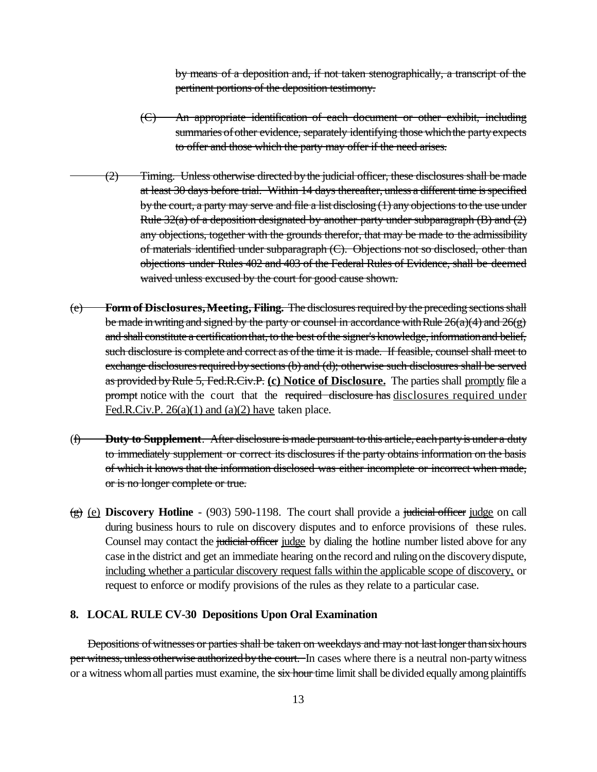by means of a deposition and, if not taken stenographically, a transcript of the pertinent portions of the deposition testimony.

- (C) An appropriate identification of each document or other exhibit, including summaries of other evidence, separately identifying those which the party expects to offer and those which the party may offer if the need arises.
- (2) Timing. Unless otherwise directed bythe judicial officer, these disclosures shall be made at least 30 days before trial. Within 14 days thereafter, unless a different time is specified bythe court, a party may serve and file a list disclosing (1) any objections to the use under Rule  $32(a)$  of a deposition designated by another party under subparagraph (B) and (2) any objections, together with the grounds therefor, that may be made to the admissibility of materials identified under subparagraph (C). Objections not so disclosed, other than objections under Rules 402 and 403 of the Federal Rules of Evidence, shall be deemed waived unless excused by the court for good cause shown.
- (e) **Formof Disclosures,Meeting, Filing.** The disclosures required by the preceding sections shall be made in writing and signed by the party or counsel in accordance with Rule  $26(a)(4)$  and  $26(g)$ and shall constitute a certification that, to the best of the signer's knowledge, information and belief, such disclosure is complete and correct as of the time it is made. If feasible, counsel shall meet to exchange disclosures required by sections (b) and (d); otherwise such disclosures shall be served as provided byRule 5, Fed.R.Civ.P. **(c) Notice of Disclosure.** The parties shall promptly file a prompt notice with the court that the required disclosure has disclosures required under Fed.R.Civ.P.  $26(a)(1)$  and  $(a)(2)$  have taken place.
- (f) **Duty to Supplement**. After disclosure is made pursuant to this article, eachpartyis under a duty to immediately supplement or correct its disclosures if the party obtains information on the basis of which it knows that the information disclosed was either incomplete or incorrect when made, or is no longer complete or true.
- (g) (e) **Discovery Hotline** (903) 590-1198. The court shall provide a judicial officer judge on call during business hours to rule on discovery disputes and to enforce provisions of these rules. Counsel may contact the judicial officer judge by dialing the hotline number listed above for any case inthe district and get an immediate hearing onthe record and rulingonthe discoverydispute, including whether a particular discovery request falls within the applicable scope of discovery, or request to enforce or modify provisions of the rules as they relate to a particular case.

#### **8. LOCAL RULE CV-30 Depositions Upon Oral Examination**

Depositions of witnesses or parties shall be taken on weekdays and may not last longer than six hours per witness, unless otherwise authorized by the court. In cases where there is a neutral non-party witness or a witness whom all parties must examine, the six hour time limit shall be divided equally among plaintiffs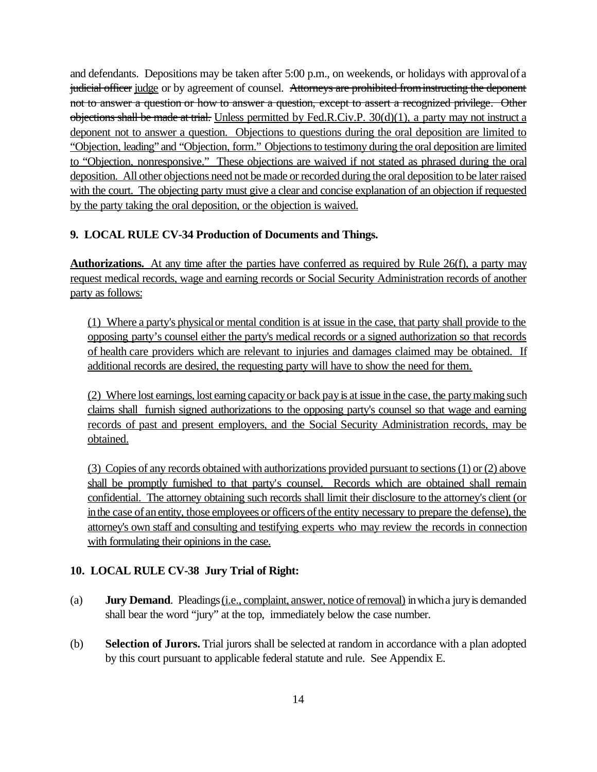and defendants. Depositions may be taken after 5:00 p.m., on weekends, or holidays with approvalof a judicial officer judge or by agreement of counsel. Attorneys are prohibited from instructing the deponent not to answer a question or how to answer a question, except to assert a recognized privilege. Other objections shall be made at trial. Unless permitted by Fed.R.Civ.P. 30(d)(1), a party may not instruct a deponent not to answer a question. Objections to questions during the oral deposition are limited to "Objection, leading" and "Objection, form." Objections to testimony during the oral deposition are limited to "Objection, nonresponsive." These objections are waived if not stated as phrased during the oral deposition. All other objections need not be made or recorded during the oral deposition to be later raised with the court. The objecting party must give a clear and concise explanation of an objection if requested by the party taking the oral deposition, or the objection is waived.

# **9. LOCAL RULE CV-34 Production of Documents and Things.**

**Authorizations.** At any time after the parties have conferred as required by Rule 26(f), a party may request medical records, wage and earning records or Social Security Administration records of another party as follows:

(1) Where a party's physicalor mental condition is at issue in the case, that party shall provide to the opposing party's counsel either the party's medical records or a signed authorization so that records of health care providers which are relevant to injuries and damages claimed may be obtained. If additional records are desired, the requesting party will have to show the need for them.

(2) Where lost earnings, lost earning capacityor back payis at issue inthe case, the partymaking such claims shall furnish signed authorizations to the opposing party's counsel so that wage and earning records of past and present employers, and the Social Security Administration records, may be obtained.

(3) Copies of any records obtained with authorizations provided pursuant to sections (1) or (2) above shall be promptly furnished to that party's counsel. Records which are obtained shall remain confidential. The attorney obtaining such records shall limit their disclosure to the attorney's client (or in the case of anentity, those employees or officers of the entity necessary to prepare the defense), the attorney's own staff and consulting and testifying experts who may review the records in connection with formulating their opinions in the case.

# **10. LOCAL RULE CV-38 Jury Trial of Right:**

- (a) **Jury Demand**. Pleadings (i.e., complaint, answer, notice ofremoval) inwhicha juryis demanded shall bear the word "jury" at the top, immediately below the case number.
- (b) **Selection of Jurors.** Trial jurors shall be selected at random in accordance with a plan adopted by this court pursuant to applicable federal statute and rule. See Appendix E.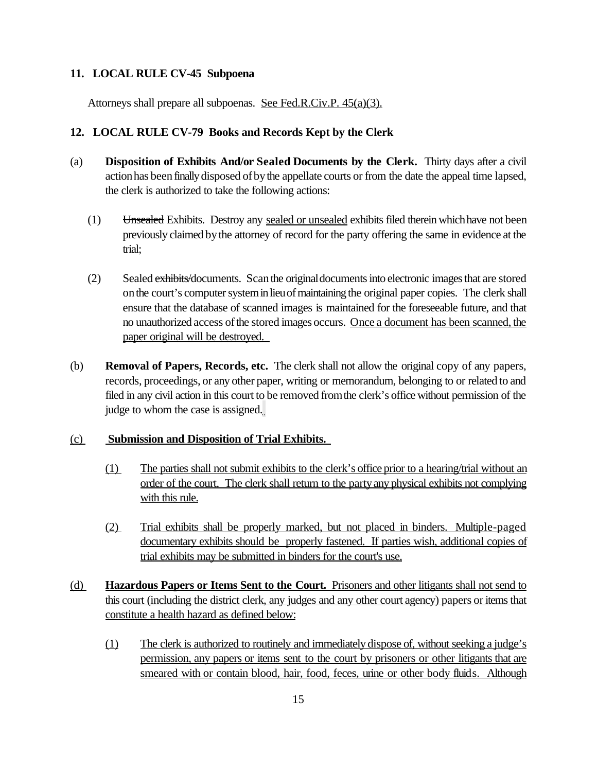### **11. LOCAL RULE CV-45 Subpoena**

Attorneys shall prepare all subpoenas. See Fed.R.Civ.P. 45(a)(3).

# **12. LOCAL RULE CV-79 Books and Records Kept by the Clerk**

- (a) **Disposition of Exhibits And/or Sealed Documents by the Clerk.** Thirty days after a civil action has been finally disposed of by the appellate courts or from the date the appeal time lapsed, the clerk is authorized to take the following actions:
	- (1) Unsealed Exhibits. Destroy any sealed or unsealed exhibits filed therein which have not been previously claimed bythe attorney of record for the party offering the same in evidence at the trial;
	- (2) Sealed exhibits/documents. Scan the original documents into electronic images that are stored on the court's computer system in lieu of maintaining the original paper copies. The clerk shall ensure that the database of scanned images is maintained for the foreseeable future, and that no unauthorized access ofthe stored images occurs. Once a document has been scanned, the paper original will be destroyed.
- (b) **Removal of Papers, Records, etc.** The clerk shall not allow the original copy of any papers, records, proceedings, or any other paper, writing or memorandum, belonging to or related to and filed in any civil action in this court to be removed from the clerk's office without permission of the judge to whom the case is assigned.

### (c) **Submission and Disposition of Trial Exhibits.**

- (1) The parties shall not submit exhibits to the clerk's office prior to a hearing/trial without an order of the court. The clerk shall return to the partyany physical exhibits not complying with this rule.
- (2) Trial exhibits shall be properly marked, but not placed in binders. Multiple-paged documentary exhibits should be properly fastened. If parties wish, additional copies of trial exhibits may be submitted in binders for the court's use.
- (d) **Hazardous Papers or Items Sent to the Court.** Prisoners and other litigants shall not send to this court (including the district clerk, any judges and any other court agency) papers or items that constitute a health hazard as defined below:
	- (1) The clerk is authorized to routinely and immediately dispose of, without seeking a judge's permission, any papers or items sent to the court by prisoners or other litigants that are smeared with or contain blood, hair, food, feces, urine or other body fluids. Although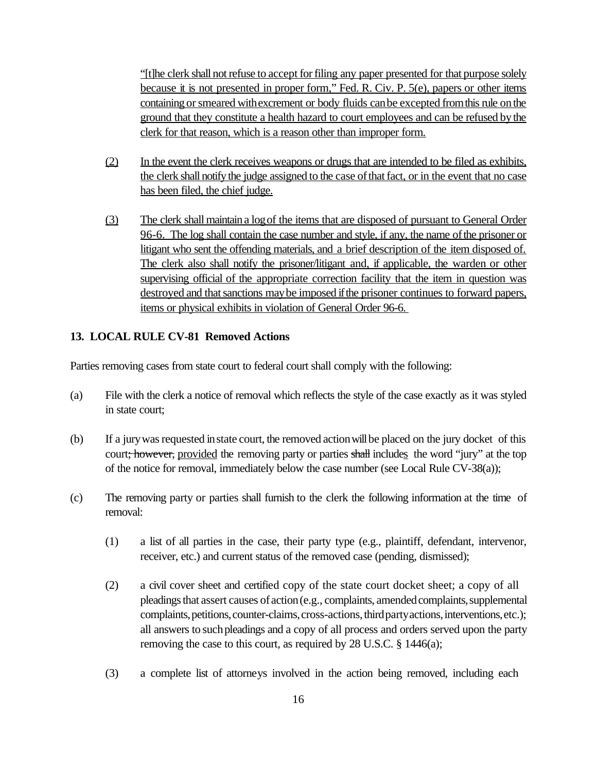"[t]he clerk shall notrefuse to accept forfiling any paper presented for that purpose solely because it is not presented in proper form," Fed. R. Civ. P. 5(e), papers or other items containing or smeared with excrement or body fluids can be excepted from this rule on the ground that they constitute a health hazard to court employees and can be refused bythe clerk for that reason, which is a reason other than improper form.

- (2) In the event the clerk receives weapons or drugs that are intended to be filed as exhibits, the clerk shall notify the judge assigned to the case of that fact, or in the event that no case has been filed, the chief judge.
- (3) The clerk shallmaintain a logof the items that are disposed of pursuant to General Order 96-6. The log shall contain the case number and style, if any, the name of the prisoner or litigant who sent the offending materials, and a brief description of the item disposed of. The clerk also shall notify the prisoner/litigant and, if applicable, the warden or other supervising official of the appropriate correction facility that the item in question was destroyed and that sanctions may be imposed if the prisoner continues to forward papers, items or physical exhibits in violation of General Order 96-6.

### **13. LOCAL RULE CV-81 Removed Actions**

Parties removing cases from state court to federal court shall comply with the following:

- (a) File with the clerk a notice of removal which reflects the style of the case exactly as it was styled in state court;
- (b) If a jury was requested in state court, the removed action will be placed on the jury docket of this court<del>; however,</del> provided the removing party or parties shall includes the word "jury" at the top of the notice for removal, immediately below the case number (see Local Rule CV-38(a));
- (c) The removing party or parties shall furnish to the clerk the following information at the time of removal:
	- (1) a list of all parties in the case, their party type (e.g., plaintiff, defendant, intervenor, receiver, etc.) and current status of the removed case (pending, dismissed);
	- (2) a civil cover sheet and certified copy of the state court docket sheet; a copy of all pleadings that assert causes of action (e.g., complaints, amended complaints, supplemental complaints, petitions, counter-claims, cross-actions, third party actions, interventions, etc.); all answers to suchpleadings and a copy of all process and orders served upon the party removing the case to this court, as required by 28 U.S.C. § 1446(a);
	- (3) a complete list of attorneys involved in the action being removed, including each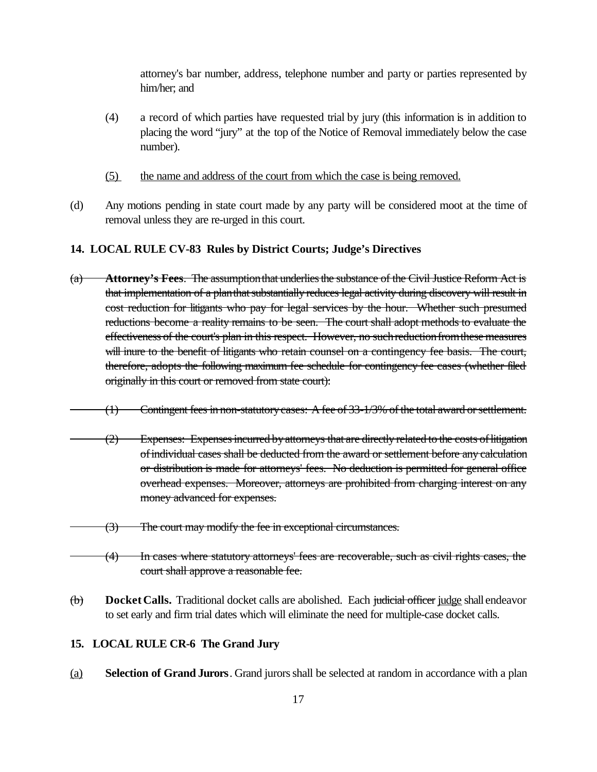attorney's bar number, address, telephone number and party or parties represented by him/her; and

- (4) a record of which parties have requested trial by jury (this information is in addition to placing the word "jury" at the top of the Notice of Removal immediately below the case number).
- (5) the name and address of the court from which the case is being removed.
- (d) Any motions pending in state court made by any party will be considered moot at the time of removal unless they are re-urged in this court.

### **14. LOCAL RULE CV-83 Rules by District Courts; Judge's Directives**

- (a) **Attorney's Fees**. The assumptionthat underliesthe substance of the Civil Justice Reform Act is that implementation of a planthat substantially reduces legal activity during discovery will result in cost reduction for litigants who pay for legal services by the hour. Whether such presumed reductions become a reality remains to be seen. The court shall adopt methods to evaluate the effectiveness of the court's plan in this respect. However, no such reduction from these measures will inure to the benefit of litigants who retain counsel on a contingency fee basis. The court, therefore, adopts the following maximum fee schedule for contingency fee cases (whether filed originally in this court or removed from state court):
- (1) Contingent fees in non-statutorycases: A fee of 33-1/3% of the total award or settlement.
- (2) Expenses: Expenses incurred by attorneys that are directly related to the costs of litigation ofindividual cases shall be deducted from the award or settlement before any calculation or distribution is made for attorneys' fees. No deduction is permitted for general office overhead expenses. Moreover, attorneys are prohibited from charging interest on any money advanced for expenses.
- (3) The court may modify the fee in exceptional circumstances.
- (4) In cases where statutory attorneys' fees are recoverable, such as civil rights cases, the court shall approve a reasonable fee.
- (b) **Docket Calls.** Traditional docket calls are abolished. Each judicial officer judge shall endeavor to set early and firm trial dates which will eliminate the need for multiple-case docket calls.

### **15. LOCAL RULE CR-6 The Grand Jury**

(a) **Selection of Grand Jurors**. Grand jurorsshall be selected at random in accordance with a plan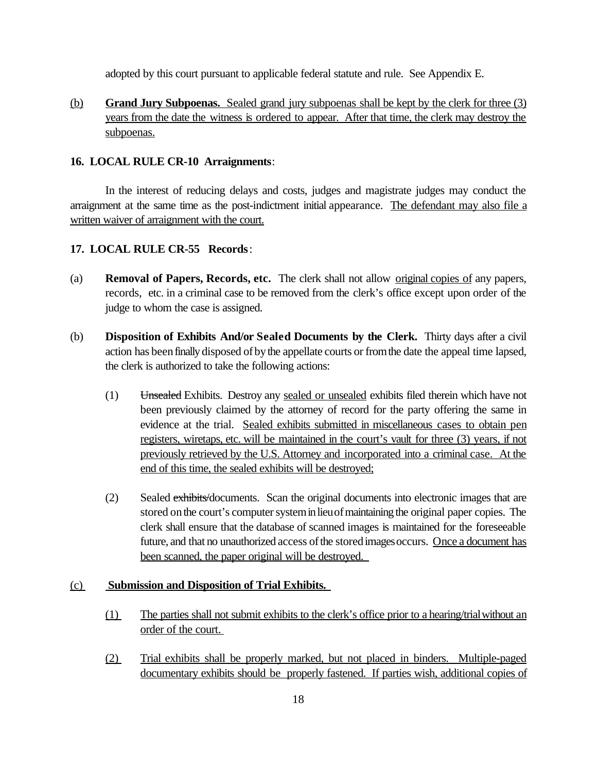adopted by this court pursuant to applicable federal statute and rule. See Appendix E.

(b) **Grand Jury Subpoenas.** Sealed grand jury subpoenas shall be kept by the clerk for three (3) years from the date the witness is ordered to appear. After that time, the clerk may destroy the subpoenas.

### **16. LOCAL RULE CR-10 Arraignments**:

In the interest of reducing delays and costs, judges and magistrate judges may conduct the arraignment at the same time as the post-indictment initial appearance. The defendant may also file a written waiver of arraignment with the court.

### **17. LOCAL RULE CR-55 Records**:

- (a) **Removal of Papers, Records, etc.** The clerk shall not allow original copies of any papers, records, etc. in a criminal case to be removed from the clerk's office except upon order of the judge to whom the case is assigned.
- (b) **Disposition of Exhibits And/or Sealed Documents by the Clerk.** Thirty days after a civil action has been finally disposed of by the appellate courts or from the date the appeal time lapsed, the clerk is authorized to take the following actions:
	- (1) Unsealed Exhibits. Destroy any sealed or unsealed exhibits filed therein which have not been previously claimed by the attorney of record for the party offering the same in evidence at the trial. Sealed exhibits submitted in miscellaneous cases to obtain pen registers, wiretaps, etc. will be maintained in the court's vault for three (3) years, if not previously retrieved by the U.S. Attorney and incorporated into a criminal case. At the end of this time, the sealed exhibits will be destroyed;
	- (2) Sealed exhibits/documents. Scan the original documents into electronic images that are stored on the court's computer system in lieu of maintaining the original paper copies. The clerk shall ensure that the database of scanned images is maintained for the foreseeable future, and that no unauthorized access of the stored images occurs. Once a document has been scanned, the paper original will be destroyed.

#### (c) **Submission and Disposition of Trial Exhibits.**

- (1) The parties shall not submit exhibits to the clerk's office prior to a hearing/trialwithout an order of the court.
- (2) Trial exhibits shall be properly marked, but not placed in binders. Multiple-paged documentary exhibits should be properly fastened. If parties wish, additional copies of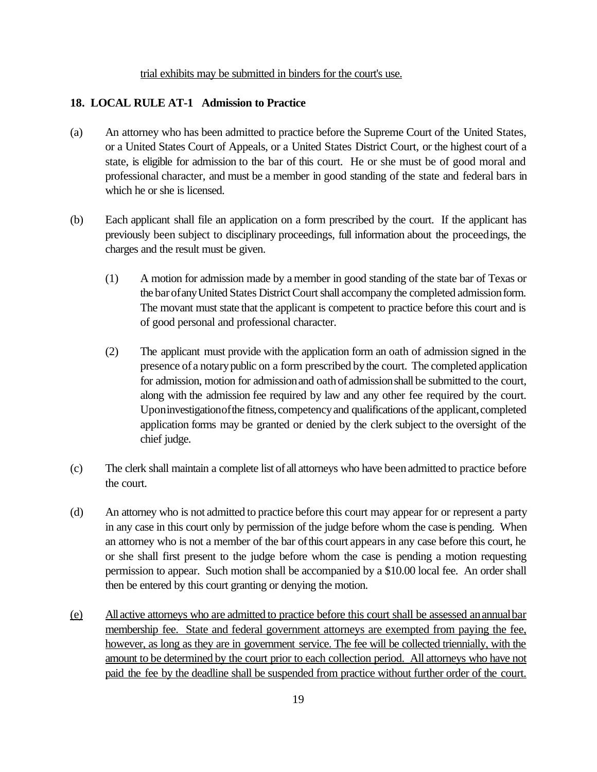#### trial exhibits may be submitted in binders for the court's use.

### **18. LOCAL RULE AT-1 Admission to Practice**

- (a) An attorney who has been admitted to practice before the Supreme Court of the United States, or a United States Court of Appeals, or a United States District Court, or the highest court of a state, is eligible for admission to the bar of this court. He or she must be of good moral and professional character, and must be a member in good standing of the state and federal bars in which he or she is licensed.
- (b) Each applicant shall file an application on a form prescribed by the court. If the applicant has previously been subject to disciplinary proceedings, full information about the proceedings, the charges and the result must be given.
	- (1) A motion for admission made by amember in good standing of the state bar of Texas or the barofanyUnited States DistrictCourtshall accompany the completed admissionform. The movant must state that the applicant is competent to practice before this court and is of good personal and professional character.
	- (2) The applicant must provide with the application form an oath of admission signed in the presence of a notary public on a form prescribed by the court. The completed application for admission, motion for admissionand oathof admissionshall be submitted to the court, along with the admission fee required by law and any other fee required by the court. Upon investigation of the fitness, competency and qualifications of the applicant, completed application forms may be granted or denied by the clerk subject to the oversight of the chief judge.
- (c) The clerk shall maintain a complete list of all attorneys who have beenadmitted to practice before the court.
- (d) An attorney who is not admitted to practice before this court may appear for or represent a party in any case in this court only by permission of the judge before whom the case is pending. When an attorney who is not a member of the bar ofthis court appearsin any case before this court, he or she shall first present to the judge before whom the case is pending a motion requesting permission to appear. Such motion shall be accompanied by a \$10.00 local fee. An order shall then be entered by this court granting or denying the motion.
- (e) All active attorneys who are admitted to practice before this court shall be assessed anannualbar membership fee. State and federal government attorneys are exempted from paying the fee, however, as long as they are in government service. The fee will be collected triennially, with the amount to be determined by the court prior to each collection period. All attorneys who have not paid the fee by the deadline shall be suspended from practice without further order of the court.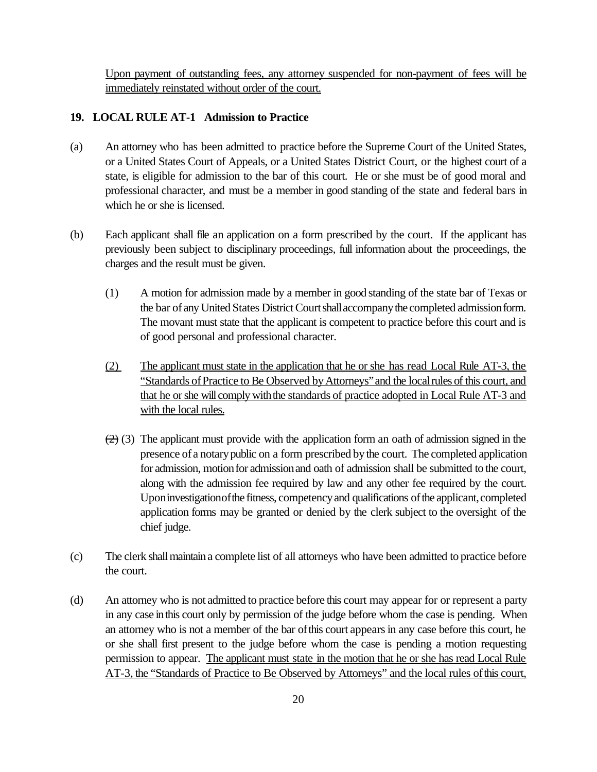Upon payment of outstanding fees, any attorney suspended for non-payment of fees will be immediately reinstated without order of the court.

### **19. LOCAL RULE AT-1 Admission to Practice**

- (a) An attorney who has been admitted to practice before the Supreme Court of the United States, or a United States Court of Appeals, or a United States District Court, or the highest court of a state, is eligible for admission to the bar of this court. He or she must be of good moral and professional character, and must be a member in good standing of the state and federal bars in which he or she is licensed.
- (b) Each applicant shall file an application on a form prescribed by the court. If the applicant has previously been subject to disciplinary proceedings, full information about the proceedings, the charges and the result must be given.
	- (1) A motion for admission made by a member in good standing of the state bar of Texas or the bar of any United States District Court shall accompany the completed admission form. The movant must state that the applicant is competent to practice before this court and is of good personal and professional character.
	- (2) The applicant must state in the application that he or she has read Local Rule AT-3, the "Standards of Practice to Be Observed by Attorneys" and the local rules of this court, and that he or she will comply with the standards of practice adopted in Local Rule AT-3 and with the local rules.
	- $(2)$  (3) The applicant must provide with the application form an oath of admission signed in the presence of a notarypublic on a form prescribed bythe court. The completed application for admission, motion for admission and oath of admission shall be submitted to the court, along with the admission fee required by law and any other fee required by the court. Upon investigation of the fitness, competency and qualifications of the applicant, completed application forms may be granted or denied by the clerk subject to the oversight of the chief judge.
- (c) The clerk shallmaintain a complete list of all attorneys who have been admitted to practice before the court.
- (d) An attorney who is not admitted to practice before this court may appear for or represent a party in any case inthis court only by permission of the judge before whom the case is pending. When an attorney who is not a member of the bar ofthis court appearsin any case before this court, he or she shall first present to the judge before whom the case is pending a motion requesting permission to appear. The applicant must state in the motion that he or she has read Local Rule AT-3, the "Standards of Practice to Be Observed by Attorneys" and the local rules ofthis court,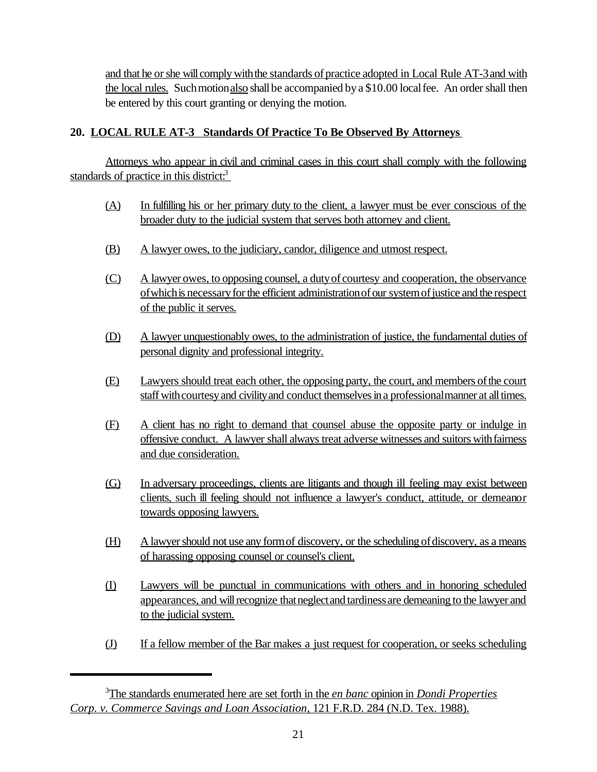and that he or she will comply with the standards of practice adopted in Local Rule AT-3 and with the local rules. Such motion also shall be accompanied by a \$10.00 local fee. An order shall then be entered by this court granting or denying the motion.

# **20. LOCAL RULE AT-3 Standards Of Practice To Be Observed By Attorneys**

Attorneys who appear in civil and criminal cases in this court shall comply with the following standards of practice in this district.<sup>3</sup>

- (A) In fulfilling his or her primary duty to the client, a lawyer must be ever conscious of the broader duty to the judicial system that serves both attorney and client.
- (B) A lawyer owes, to the judiciary, candor, diligence and utmost respect.
- (C) A lawyer owes, to opposing counsel, a dutyof courtesy and cooperation, the observance of which is necessary for the efficient administration of our system of justice and the respect of the public it serves.
- (D) A lawyer unquestionably owes, to the administration of justice, the fundamental duties of personal dignity and professional integrity.
- (E) Lawyers should treat each other, the opposing party, the court, and members ofthe court staff with courtesy and civility and conduct themselves in a professional manner at all times.
- (F) A client has no right to demand that counsel abuse the opposite party or indulge in offensive conduct. A lawyer shall always treat adverse witnesses and suitors withfairness and due consideration.
- (G) In adversary proceedings, clients are litigants and though ill feeling may exist between clients, such ill feeling should not influence a lawyer's conduct, attitude, or demeanor towards opposing lawyers.
- $(H)$  A lawyer should not use any form of discovery, or the scheduling of discovery, as a means of harassing opposing counsel or counsel's client.
- (I) Lawyers will be punctual in communications with others and in honoring scheduled appearances, and will recognize that neglect and tardiness are demeaning to the lawyer and to the judicial system.
- (J) If a fellow member of the Bar makes a just request for cooperation, or seeks scheduling

<sup>3</sup>The standards enumerated here are set forth in the *en banc* opinion in *Dondi Properties Corp. v. Commerce Savings and Loan Association*, 121 F.R.D. 284 (N.D. Tex. 1988).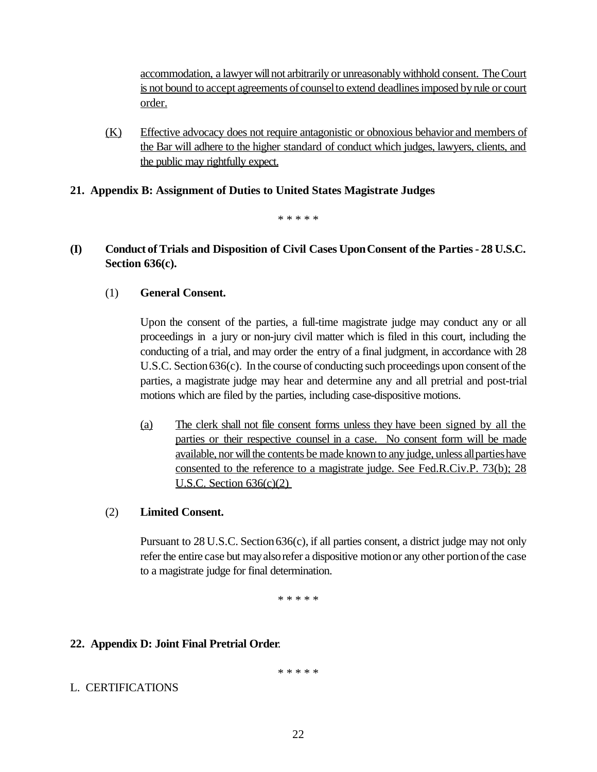accommodation, a lawyer willnot arbitrarily or unreasonably withhold consent. The Court is not bound to accept agreements of counsel to extend deadlines imposed by rule or court order.

- (K) Effective advocacy does not require antagonistic or obnoxious behavior and members of the Bar will adhere to the higher standard of conduct which judges, lawyers, clients, and the public may rightfully expect.
- **21. Appendix B: Assignment of Duties to United States Magistrate Judges**

\* \* \* \* \*

- **(I) Conduct of Trials and Disposition of Civil Cases UponConsent of the Parties- 28 U.S.C. Section 636(c).**
	- (1) **General Consent.**

Upon the consent of the parties, a full-time magistrate judge may conduct any or all proceedings in a jury or non-jury civil matter which is filed in this court, including the conducting of a trial, and may order the entry of a final judgment, in accordance with 28 U.S.C. Section 636(c). In the course of conducting such proceedings upon consent of the parties, a magistrate judge may hear and determine any and all pretrial and post-trial motions which are filed by the parties, including case-dispositive motions.

(a) The clerk shall not file consent forms unless they have been signed by all the parties or their respective counsel in a case. No consent form will be made available, nor will the contents be made known to any judge, unless all parties have consented to the reference to a magistrate judge. See Fed.R.Civ.P. 73(b); 28 U.S.C. Section  $636(c)(2)$ 

# (2) **Limited Consent.**

Pursuant to 28 U.S.C. Section 636(c), if all parties consent, a district judge may not only refer the entire case but may also refer a dispositive motion or any other portion of the case to a magistrate judge for final determination.

\* \* \* \* \*

# **22. Appendix D: Joint Final Pretrial Order**.

\* \* \* \* \*

### L. CERTIFICATIONS